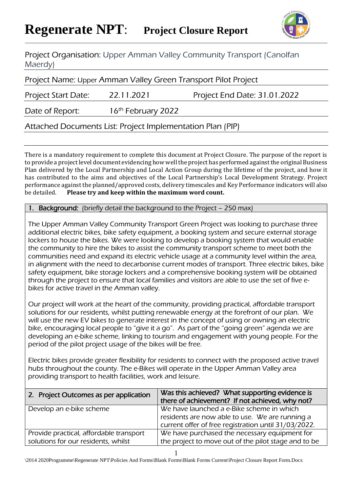

Project Organisation: Upper Amman Valley Community Transport (Canolfan Maerdy)

Project Name: Upper Amman Valley Green Transport Pilot Project

Project Start Date: 22.11.2021 Project End Date: 31.01.2022

Date of Report: 16<sup>th</sup> February 2022

Attached Documents List: Project Implementation Plan (PIP)

There is a mandatory requirement to complete this document at Project Closure. The purpose of the report is to provide a project level document evidencing how well the project has performed against the original Business Plan delivered by the Local Partnership and Local Action Group during the lifetime of the project, and how it has contributed to the aims and objectives of the Local Partnership's Local Development Strategy. Project performance against the planned/approved costs, delivery timescales and Key Performance indicators will also be detailed. **Please try and keep within the maximum word count.**

Background: (briefly detail the background to the Project – 250 max)

The Upper Amman Valley Community Transport Green Project was looking to purchase three additional electric bikes, bike safety equipment, a booking system and secure external storage lockers to house the bikes. We were looking to develop a booking system that would enable the community to hire the bikes to assist the community transport scheme to meet both the communities need and expand its electric vehicle usage at a community level within the area, in alignment with the need to decarbonise current modes of transport. Three electric bikes, bike safety equipment, bike storage lockers and a comprehensive booking system will be obtained through the project to ensure that local families and visitors are able to use the set of five ebikes for active travel in the Amman valley.

Our project will work at the heart of the community, providing practical, affordable transport solutions for our residents, whilst putting renewable energy at the forefront of our plan. We will use the new EV bikes to generate interest in the concept of using or owning an electric bike, encouraging local people to "give it a go". As part of the "going green" agenda we are developing an e-bike scheme, linking to tourism and engagement with young people. For the period of the pilot project usage of the bikes will be free.

Electric bikes provide greater flexibility for residents to connect with the proposed active travel hubs throughout the county. The e-Bikes will operate in the Upper Amman Valley area providing transport to health facilities, work and leisure.

| 2. Project Outcomes as per application  | Was this achieved? What supporting evidence is<br>there of achievement? If not achieved, why not?                                                    |
|-----------------------------------------|------------------------------------------------------------------------------------------------------------------------------------------------------|
| Develop an e-bike scheme                | We have launched a e-Bike scheme in which<br>residents are now able to use. We are running a<br>current offer of free registration until 31/03/2022. |
| Provide practical, affordable transport | We have purchased the necessary equipment for                                                                                                        |
| solutions for our residents, whilst     | the project to move out of the pilot stage and to be                                                                                                 |

\2014 2020Programme\Regenerate NPT\Policies And Forms\Blank Forms\Blank Forms Current\Project Closure Report Form.Docx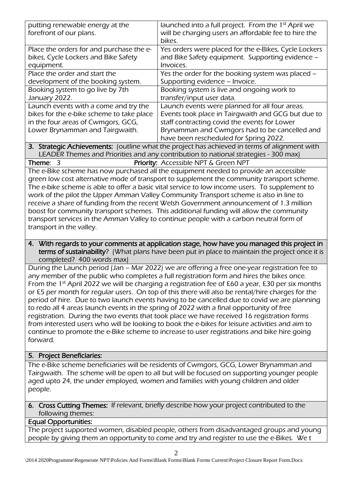| putting renewable energy at the                                                         | launched into a full project. From the 1 <sup>st</sup> April we                                |  |
|-----------------------------------------------------------------------------------------|------------------------------------------------------------------------------------------------|--|
| forefront of our plans.                                                                 | will be charging users an affordable fee to hire the                                           |  |
|                                                                                         | bikes.                                                                                         |  |
| Place the orders for and purchase the e-                                                | Yes orders were placed for the e-Bikes, Cycle Lockers                                          |  |
| bikes, Cycle Lockers and Bike Safety                                                    | and Bike Safety equipment. Supporting evidence -                                               |  |
| equipment.                                                                              | Invoices.                                                                                      |  |
| Place the order and start the                                                           | Yes the order for the booking system was placed -                                              |  |
| development of the booking system.                                                      | Supporting evidence - Invoice.                                                                 |  |
| Booking system to go live by 7th                                                        | Booking system is live and ongoing work to                                                     |  |
| January 2022.                                                                           | transfer/input user data.                                                                      |  |
| Launch events with a come and try the                                                   | Launch events were planned for all four areas.                                                 |  |
| bikes for the e-bike scheme to take place                                               | Events took place in Tairgwaith and GCG but due to                                             |  |
| in the four areas of Cwmgors, GCG,                                                      | staff contracting covid the events for Lower                                                   |  |
| Lower Brynamman and Tairgwaith.                                                         | Brynamman and Cwmgors had to be cancelled and                                                  |  |
|                                                                                         | have been rescheduled for Spring 2022.                                                         |  |
|                                                                                         | 3. Strategic Achievements: (outline what the project has achieved in terms of alignment with   |  |
|                                                                                         | LEADER Themes and Priorities and any contribution to national strategies - 300 max)            |  |
| Theme: $3$                                                                              | Priority: Accessible NPT & Green NPT                                                           |  |
|                                                                                         | The e-Bike scheme has now purchased all the equipment needed to provide an accessible          |  |
|                                                                                         | green low cost alternative mode of transport to supplement the community transport scheme.     |  |
|                                                                                         | The e-bike scheme is able to offer a basic vital service to low income users. To supplement to |  |
|                                                                                         | work of the pilot the Upper Amman Valley Community Transport scheme is also in line to         |  |
|                                                                                         | receive a share of funding from the recent Welsh Government announcement of 1.3 million        |  |
|                                                                                         | boost for community transport schemes. This additional funding will allow the community        |  |
| transport services in the Amman Valley to continue people with a carbon neutral form of |                                                                                                |  |
| transport in the valley.                                                                |                                                                                                |  |

4. With regards to your comments at application stage, how have you managed this project in terms of sustainability? (What plans have been put in place to maintain the project once it is completed? 400 words max)

During the Launch period (Jan – Mar 2022) we are offering a free one-year registration fee to any member of the public who completes a full registration form and hires the bikes once. From the 1<sup>st</sup> April 2022 we will be charging a registration fee of £60 a year, £30 per six months or £5 per month for regular users. On top of this there will also be rental/hire charges for the period of hire. Due to two launch events having to be cancelled due to covid we are planning to redo all 4 areas launch events in the spring of 2022 with a final opportunity of free registration. During the two events that took place we have received 16 registration forms from interested users who will be looking to book the e-bikes for leisure activities and aim to continue to promote the e-Bike scheme to increase to user registrations and bike hire going forward.

### 5. Project Beneficiaries:

The e-Bike scheme beneficiaries will be residents of Cwmgors, GCG, Lower Brynamman and Tairgwaith. The scheme will be open to all but will be focused on supporting younger people aged upto 24, the under employed, women and families with young children and older people.

#### 6. Cross Cutting Themes: If relevant, briefly describe how your project contributed to the following themes:

### Equal Opportunities:

The project supported women, disabled people, others from disadvantaged groups and young people by giving them an opportunity to come and try and register to use the e-Bikes. We t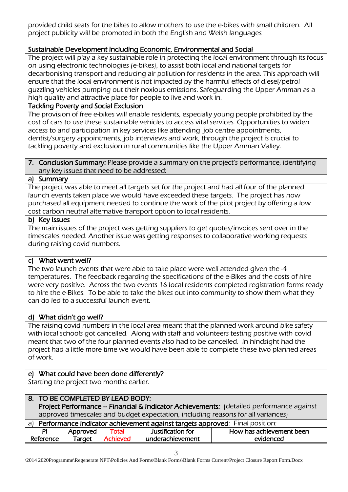provided child seats for the bikes to allow mothers to use the e-bikes with small children. All project publicity will be promoted in both the English and Welsh languages

## Sustainable Development including Economic, Environmental and Social

The project will play a key sustainable role in protecting the local environment through its focus on using electronic technologies (e-bikes), to assist both local and national targets for decarbonising transport and reducing air pollution for residents in the area. This approach will ensure that the local environment is not impacted by the harmful effects of diesel/petrol guzzling vehicles pumping out their noxious emissions. Safeguarding the Upper Amman as a high quality and attractive place for people to live and work in.

# Tackling Poverty and Social Exclusion

The provision of free e-bikes will enable residents, especially young people prohibited by the cost of cars to use these sustainable vehicles to access vital services. Opportunities to widen access to and participation in key services like attending job centre appointments, dentist/surgery appointments, job interviews and work, through the project is crucial to tackling poverty and exclusion in rural communities like the Upper Amman Valley.

#### 7. Conclusion Summary: Please provide a summary on the project's performance, identifying any key issues that need to be addressed:

### a) Summary

The project was able to meet all targets set for the project and had all four of the planned launch events taken place we would have exceeded these targets. The project has now purchased all equipment needed to continue the work of the pilot project by offering a low cost carbon neutral alternative transport option to local residents.

### b) Key Issues

The main issues of the project was getting suppliers to get quotes/invoices sent over in the timescales needed. Another issue was getting responses to collaborative working requests during raising covid numbers.

## c) What went well?

The two launch events that were able to take place were well attended given the -4 temperatures. The feedback regarding the specifications of the e-Bikes and the costs of hire were very positive. Across the two events 16 local residents completed registration forms ready to hire the e-Bikes. To be able to take the bikes out into community to show them what they can do led to a successful launch event.

## d) What didn't go well?

The raising covid numbers in the local area meant that the planned work around bike safety with local schools got cancelled. Along with staff and volunteers testing positive with covid meant that two of the four planned events also had to be cancelled. In hindsight had the project had a little more time we would have been able to complete these two planned areas of work.

## e) What could have been done differently?

Starting the project two months earlier.

|                                                                                | 8. TO BE COMPLETED BY LEAD BODY: |                                                  |                   |                                                                                         |  |  |
|--------------------------------------------------------------------------------|----------------------------------|--------------------------------------------------|-------------------|-----------------------------------------------------------------------------------------|--|--|
|                                                                                |                                  |                                                  |                   | Project Performance - Financial & Indicator Achievements: (detailed performance against |  |  |
|                                                                                |                                  |                                                  |                   | approved timescales and budget expectation, including reasons for all variances)        |  |  |
| a) Performance indicator achievement against targets approved: Final position: |                                  |                                                  |                   |                                                                                         |  |  |
| PI                                                                             | Approved                         | Total                                            | Justification for | How has achievement been                                                                |  |  |
| Reference                                                                      | Target                           | <b>Achieved</b><br>underachievement<br>evidenced |                   |                                                                                         |  |  |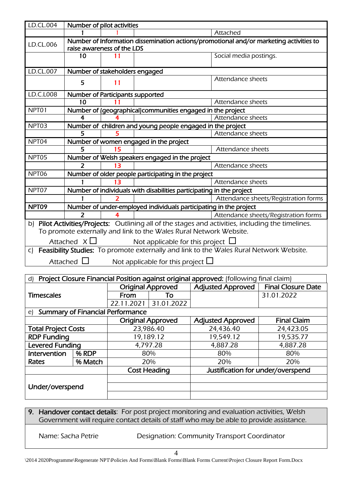| LD.CL.004 | Number of pilot activities       |                            |                                                                                                                                                                       |
|-----------|----------------------------------|----------------------------|-----------------------------------------------------------------------------------------------------------------------------------------------------------------------|
|           |                                  |                            | Attached                                                                                                                                                              |
| LD.CL.006 |                                  | raise awareness of the LDS | Number of Information dissemination actions/promotional and/or marketing activities to                                                                                |
|           | 10                               |                            | Social media postings.                                                                                                                                                |
| LD.CL.007 | Number of stakeholders engaged   |                            |                                                                                                                                                                       |
|           | 5                                | 11                         | Attendance sheets                                                                                                                                                     |
| LD.C.L008 | Number of Participants supported |                            |                                                                                                                                                                       |
|           | 10                               |                            | Attendance sheets                                                                                                                                                     |
| NPT01     |                                  |                            | Number of (geographical)communities engaged in the project                                                                                                            |
|           | 4                                |                            | Attendance sheets                                                                                                                                                     |
| NPT03     |                                  |                            | Number of children and young people engaged in the project                                                                                                            |
|           |                                  |                            | Attendance sheets                                                                                                                                                     |
| NPT04     |                                  |                            | Number of women engaged in the project                                                                                                                                |
|           | 5                                | 15                         | Attendance sheets                                                                                                                                                     |
| NPT05     |                                  |                            | Number of Welsh speakers engaged in the project                                                                                                                       |
|           | 2                                | 13                         | Attendance sheets                                                                                                                                                     |
| NPT06     |                                  |                            | Number of older people participating in the project                                                                                                                   |
|           |                                  |                            | Attendance sheets                                                                                                                                                     |
| NPT07     |                                  |                            | Number of individuals with disabilities participating in the project                                                                                                  |
|           |                                  |                            | Attendance sheets/Registration forms                                                                                                                                  |
| NPT09     |                                  |                            | Number of under-employed individuals participating in the project                                                                                                     |
|           | 2                                |                            | Attendance sheets/Registration forms                                                                                                                                  |
| b)        |                                  |                            | Pilot Activities/Projects: Outlining all of the stages and activities, including the timelines.<br>To promote externally and link to the Wales Rural Network Website. |
|           | Attached $X\square$              |                            | Not applicable for this project $\Box$                                                                                                                                |
| C)        |                                  |                            | Feasibility Studies: To promote externally and link to the Wales Rural Network Website.                                                                               |
|           | Attached $\Box$                  |                            | Not applicable for this project $\Box$                                                                                                                                |
|           |                                  |                            |                                                                                                                                                                       |
|           |                                  |                            | d) <b>Project Closure Einancial Position against original approved:</b> Ifollowing final claim)                                                                       |

| Project Closure Financial Position against original approved: (following final claim)<br>d) |         |                          |            |                                   |                           |
|---------------------------------------------------------------------------------------------|---------|--------------------------|------------|-----------------------------------|---------------------------|
|                                                                                             |         | <b>Original Approved</b> |            | <b>Adjusted Approved</b>          | <b>Final Closure Date</b> |
| <b>Timescales</b>                                                                           |         | From<br>To               |            |                                   | 31.01.2022                |
|                                                                                             |         | 22.11.2021               | 31.01.2022 |                                   |                           |
| <b>Summary of Financial Performance</b><br>e)                                               |         |                          |            |                                   |                           |
|                                                                                             |         | <b>Original Approved</b> |            | <b>Adjusted Approved</b>          | <b>Final Claim</b>        |
| <b>Total Project Costs</b>                                                                  |         | 23,986.40                |            | 24,436.40                         | 24,423.05                 |
| <b>RDP Funding</b>                                                                          |         | 19,189.12                |            | 19,549.12                         | 19,535.77                 |
| <b>Levered Funding</b>                                                                      |         | 4,797.28                 |            | 4,887.28                          | 4,887.28                  |
| Intervention                                                                                | % RDP   |                          | 80%        | 80%                               | 80%                       |
| Rates                                                                                       | % Match | 20%                      |            | 20%                               | 20%                       |
|                                                                                             |         | <b>Cost Heading</b>      |            | Justification for under/overspend |                           |
|                                                                                             |         |                          |            |                                   |                           |
| Under/overspend                                                                             |         |                          |            |                                   |                           |
|                                                                                             |         |                          |            |                                   |                           |

## 9. Handover contact details: For post project monitoring and evaluation activities, Welsh Government will require contact details of staff who may be able to provide assistance.

Name: Sacha Petrie Designation: Community Transport Coordinator